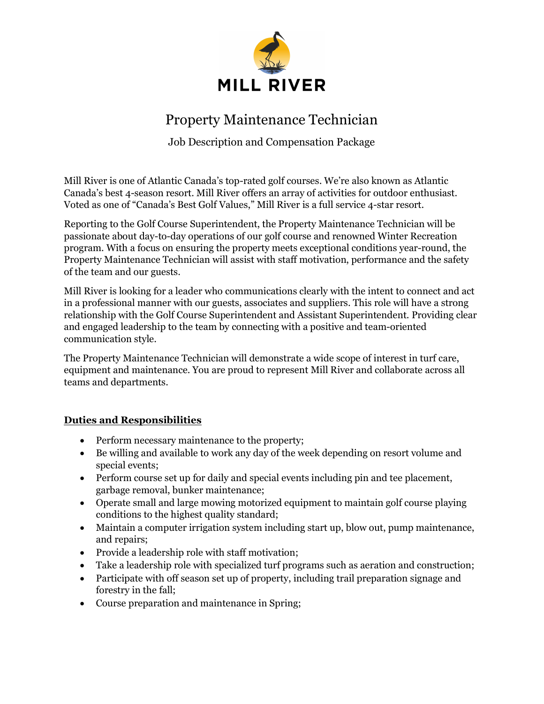

## Property Maintenance Technician

Job Description and Compensation Package

Mill River is one of Atlantic Canada's top-rated golf courses. We're also known as Atlantic Canada's best 4-season resort. Mill River offers an array of activities for outdoor enthusiast. Voted as one of "Canada's Best Golf Values," Mill River is a full service 4-star resort.

Reporting to the Golf Course Superintendent, the Property Maintenance Technician will be passionate about day-to-day operations of our golf course and renowned Winter Recreation program. With a focus on ensuring the property meets exceptional conditions year-round, the Property Maintenance Technician will assist with staff motivation, performance and the safety of the team and our guests.

Mill River is looking for a leader who communications clearly with the intent to connect and act in a professional manner with our guests, associates and suppliers. This role will have a strong relationship with the Golf Course Superintendent and Assistant Superintendent. Providing clear and engaged leadership to the team by connecting with a positive and team-oriented communication style.

The Property Maintenance Technician will demonstrate a wide scope of interest in turf care, equipment and maintenance. You are proud to represent Mill River and collaborate across all teams and departments.

## Duties and Responsibilities

- Perform necessary maintenance to the property;
- Be willing and available to work any day of the week depending on resort volume and special events;
- Perform course set up for daily and special events including pin and tee placement, garbage removal, bunker maintenance;
- Operate small and large mowing motorized equipment to maintain golf course playing conditions to the highest quality standard;
- Maintain a computer irrigation system including start up, blow out, pump maintenance, and repairs;
- Provide a leadership role with staff motivation;
- Take a leadership role with specialized turf programs such as aeration and construction;
- Participate with off season set up of property, including trail preparation signage and forestry in the fall;
- Course preparation and maintenance in Spring;